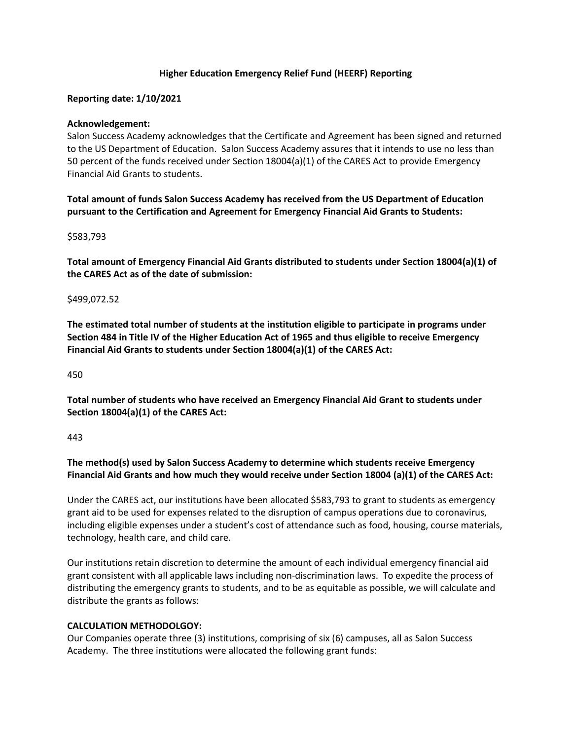## **Higher Education Emergency Relief Fund (HEERF) Reporting**

## **Reporting date: 1/10/2021**

### **Acknowledgement:**

Salon Success Academy acknowledges that the Certificate and Agreement has been signed and returned to the US Department of Education. Salon Success Academy assures that it intends to use no less than 50 percent of the funds received under Section 18004(a)(1) of the CARES Act to provide Emergency Financial Aid Grants to students.

**Total amount of funds Salon Success Academy has received from the US Department of Education pursuant to the Certification and Agreement for Emergency Financial Aid Grants to Students:**

### \$583,793

**Total amount of Emergency Financial Aid Grants distributed to students under Section 18004(a)(1) of the CARES Act as of the date of submission:**

### \$499,072.52

**The estimated total number of students at the institution eligible to participate in programs under Section 484 in Title IV of the Higher Education Act of 1965 and thus eligible to receive Emergency Financial Aid Grants to students under Section 18004(a)(1) of the CARES Act:**

#### 450

**Total number of students who have received an Emergency Financial Aid Grant to students under Section 18004(a)(1) of the CARES Act:**

#### 443

**The method(s) used by Salon Success Academy to determine which students receive Emergency Financial Aid Grants and how much they would receive under Section 18004 (a)(1) of the CARES Act:**

Under the CARES act, our institutions have been allocated \$583,793 to grant to students as emergency grant aid to be used for expenses related to the disruption of campus operations due to coronavirus, including eligible expenses under a student's cost of attendance such as food, housing, course materials, technology, health care, and child care.

Our institutions retain discretion to determine the amount of each individual emergency financial aid grant consistent with all applicable laws including non-discrimination laws. To expedite the process of distributing the emergency grants to students, and to be as equitable as possible, we will calculate and distribute the grants as follows:

### **CALCULATION METHODOLGOY:**

Our Companies operate three (3) institutions, comprising of six (6) campuses, all as Salon Success Academy. The three institutions were allocated the following grant funds: